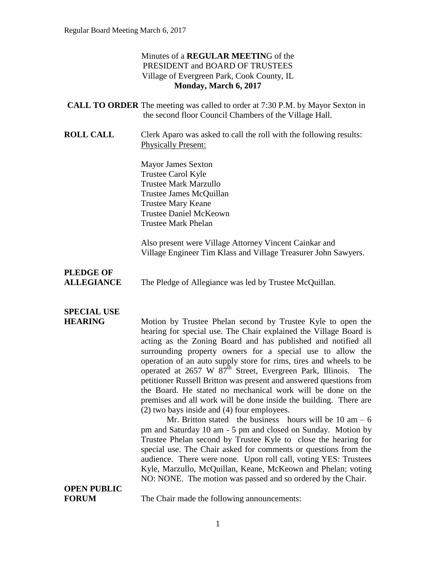#### Minutes of a **REGULAR MEETIN**G of the PRESIDENT and BOARD OF TRUSTEES Village of Evergreen Park, Cook County, IL **Monday, March 6, 2017**

| <b>CALL TO ORDER</b> The meeting was called to order at 7:30 P.M. by Mayor Sexton in |
|--------------------------------------------------------------------------------------|
| the second floor Council Chambers of the Village Hall.                               |
|                                                                                      |

**ROLL CALL** Clerk Aparo was asked to call the roll with the following results: Physically Present:

> Mayor James Sexton Trustee Carol Kyle Trustee Mark Marzullo Trustee James McQuillan Trustee Mary Keane Trustee Daniel McKeown Trustee Mark Phelan

Also present were Village Attorney Vincent Cainkar and Village Engineer Tim Klass and Village Treasurer John Sawyers.

# **PLEDGE OF**

**ALLEGIANCE** The Pledge of Allegiance was led by Trustee McQuillan.

# **SPECIAL USE**

**HEARING** Motion by Trustee Phelan second by Trustee Kyle to open the hearing for special use. The Chair explained the Village Board is acting as the Zoning Board and has published and notified all surrounding property owners for a special use to allow the operation of an auto supply store for rims, tires and wheels to be operated at 2657 W  $87<sup>th</sup>$  Street, Evergreen Park, Illinois. The petitioner Russell Britton was present and answered questions from the Board. He stated no mechanical work will be done on the premises and all work will be done inside the building. There are (2) two bays inside and (4) four employees.

Mr. Britton stated the business hours will be  $10 \text{ am } -6$ pm and Saturday 10 am - 5 pm and closed on Sunday. Motion by Trustee Phelan second by Trustee Kyle to close the hearing for special use. The Chair asked for comments or questions from the audience. There were none. Upon roll call, voting YES: Trustees Kyle, Marzullo, McQuillan, Keane, McKeown and Phelan; voting NO: NONE. The motion was passed and so ordered by the Chair.

# **OPEN PUBLIC**

**FORUM** The Chair made the following announcements: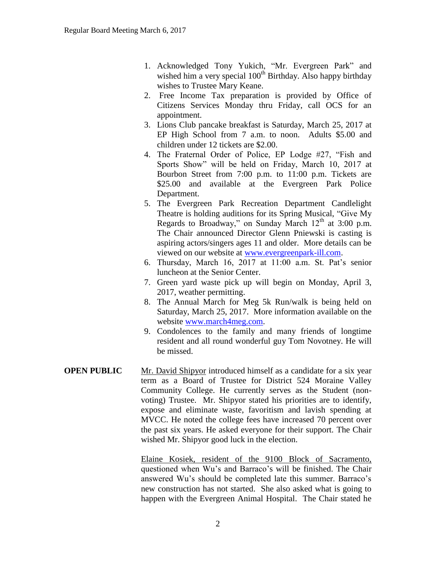- 1. Acknowledged Tony Yukich, "Mr. Evergreen Park" and wished him a very special 100<sup>th</sup> Birthday. Also happy birthday wishes to Trustee Mary Keane.
- 2. Free Income Tax preparation is provided by Office of Citizens Services Monday thru Friday, call OCS for an appointment.
- 3. Lions Club pancake breakfast is Saturday, March 25, 2017 at EP High School from 7 a.m. to noon. Adults \$5.00 and children under 12 tickets are \$2.00.
- 4. The Fraternal Order of Police, EP Lodge #27, "Fish and Sports Show" will be held on Friday, March 10, 2017 at Bourbon Street from 7:00 p.m. to 11:00 p.m. Tickets are \$25.00 and available at the Evergreen Park Police Department.
- 5. The Evergreen Park Recreation Department Candlelight Theatre is holding auditions for its Spring Musical, "Give My Regards to Broadway," on Sunday March  $12<sup>th</sup>$  at 3:00 p.m. The Chair announced Director Glenn Pniewski is casting is aspiring actors/singers ages 11 and older. More details can be viewed on our website at [www.evergreenpark-ill.com.](http://www.evergreenpark-ill.com/)
- 6. Thursday, March 16, 2017 at 11:00 a.m. St. Pat's senior luncheon at the Senior Center.
- 7. Green yard waste pick up will begin on Monday, April 3, 2017, weather permitting.
- 8. The Annual March for Meg 5k Run/walk is being held on Saturday, March 25, 2017. More information available on the website [www.march4meg.com.](http://www.march4meg.com/)
- 9. Condolences to the family and many friends of longtime resident and all round wonderful guy Tom Novotney. He will be missed.
- **OPEN PUBLIC** Mr. David Shipyor introduced himself as a candidate for a six year term as a Board of Trustee for District 524 Moraine Valley Community College. He currently serves as the Student (nonvoting) Trustee. Mr. Shipyor stated his priorities are to identify, expose and eliminate waste, favoritism and lavish spending at MVCC. He noted the college fees have increased 70 percent over the past six years. He asked everyone for their support. The Chair wished Mr. Shipyor good luck in the election.

Elaine Kosiek, resident of the 9100 Block of Sacramento, questioned when Wu's and Barraco's will be finished. The Chair answered Wu's should be completed late this summer. Barraco's new construction has not started. She also asked what is going to happen with the Evergreen Animal Hospital. The Chair stated he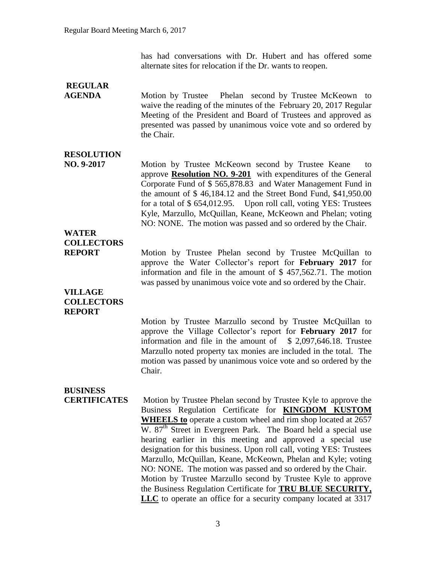has had conversations with Dr. Hubert and has offered some alternate sites for relocation if the Dr. wants to reopen.

### **REGULAR**

**AGENDA** Motion by Trustee Phelan second by Trustee McKeown to waive the reading of the minutes of the February 20, 2017 Regular Meeting of the President and Board of Trustees and approved as presented was passed by unanimous voice vote and so ordered by the Chair.

### **RESOLUTION**

**NO. 9-2017** Motion by Trustee McKeown second by Trustee Keane to approve **Resolution NO. 9-201** with expenditures of the General Corporate Fund of \$ 565,878.83 and Water Management Fund in the amount of \$ 46,184.12 and the Street Bond Fund, \$41,950.00 for a total of \$ 654,012.95. Upon roll call, voting YES: Trustees Kyle, Marzullo, McQuillan, Keane, McKeown and Phelan; voting NO: NONE. The motion was passed and so ordered by the Chair.

### **WATER COLLECTORS**

**REPORT** Motion by Trustee Phelan second by Trustee McQuillan to approve the Water Collector's report for **February 2017** for information and file in the amount of \$ 457,562.71. The motion was passed by unanimous voice vote and so ordered by the Chair.

#### **VILLAGE COLLECTORS REPORT**

Motion by Trustee Marzullo second by Trustee McQuillan to approve the Village Collector's report for **February 2017** for information and file in the amount of  $$ 2,097,646.18$ . Trustee Marzullo noted property tax monies are included in the total. The motion was passed by unanimous voice vote and so ordered by the Chair.

## **BUSINESS**

**CERTIFICATES** Motion by Trustee Phelan second by Trustee Kyle to approve the Business Regulation Certificate for **KINGDOM KUSTOM WHEELS to** operate a custom wheel and rim shop located at 2657 W. 87<sup>th</sup> Street in Evergreen Park. The Board held a special use hearing earlier in this meeting and approved a special use designation for this business. Upon roll call, voting YES: Trustees Marzullo, McQuillan, Keane, McKeown, Phelan and Kyle; voting NO: NONE. The motion was passed and so ordered by the Chair. Motion by Trustee Marzullo second by Trustee Kyle to approve the Business Regulation Certificate for **TRU BLUE SECURITY, LLC** to operate an office for a security company located at 3317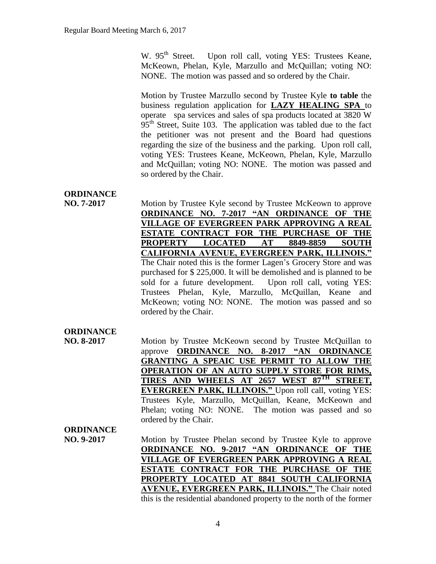W. 95<sup>th</sup> Street. Upon roll call, voting YES: Trustees Keane, McKeown, Phelan, Kyle, Marzullo and McQuillan; voting NO: NONE. The motion was passed and so ordered by the Chair.

Motion by Trustee Marzullo second by Trustee Kyle **to table** the business regulation application for **LAZY HEALING SPA** to operate spa services and sales of spa products located at 3820 W  $95<sup>th</sup>$  Street, Suite 103. The application was tabled due to the fact the petitioner was not present and the Board had questions regarding the size of the business and the parking. Upon roll call, voting YES: Trustees Keane, McKeown, Phelan, Kyle, Marzullo and McQuillan; voting NO: NONE. The motion was passed and so ordered by the Chair.

### **ORDINANCE**

**NO. 7-2017** Motion by Trustee Kyle second by Trustee McKeown to approve **ORDINANCE NO. 7-2017 "AN ORDINANCE OF THE VILLAGE OF EVERGREEN PARK APPROVING A REAL ESTATE CONTRACT FOR THE PURCHASE OF THE PROPERTY LOCATED AT 8849-8859 SOUTH CALIFORNIA AVENUE, EVERGREEN PARK, ILLINOIS."**  The Chair noted this is the former Lagen's Grocery Store and was purchased for \$ 225,000. It will be demolished and is planned to be sold for a future development. Upon roll call, voting YES: Trustees Phelan, Kyle, Marzullo, McQuillan, Keane and McKeown; voting NO: NONE. The motion was passed and so ordered by the Chair.

### **ORDINANCE**

**NO. 8-2017** Motion by Trustee McKeown second by Trustee McQuillan to approve **ORDINANCE NO. 8-2017 "AN ORDINANCE GRANTING A SPEAIC USE PERMIT TO ALLOW THE OPERATION OF AN AUTO SUPPLY STORE FOR RIMS, TIRES AND WHEELS AT 2657 WEST 87TH STREET, EVERGREEN PARK, ILLINOIS."** Upon roll call, voting YES: Trustees Kyle, Marzullo, McQuillan, Keane, McKeown and Phelan; voting NO: NONE. The motion was passed and so ordered by the Chair.

#### **ORDINANCE**

**NO. 9-2017** Motion by Trustee Phelan second by Trustee Kyle to approve **ORDINANCE NO. 9-2017 "AN ORDINANCE OF THE VILLAGE OF EVERGREEN PARK APPROVING A REAL ESTATE CONTRACT FOR THE PURCHASE OF THE PROPERTY LOCATED AT 8841 SOUTH CALIFORNIA AVENUE, EVERGREEN PARK, ILLINOIS."** The Chair noted this is the residential abandoned property to the north of the former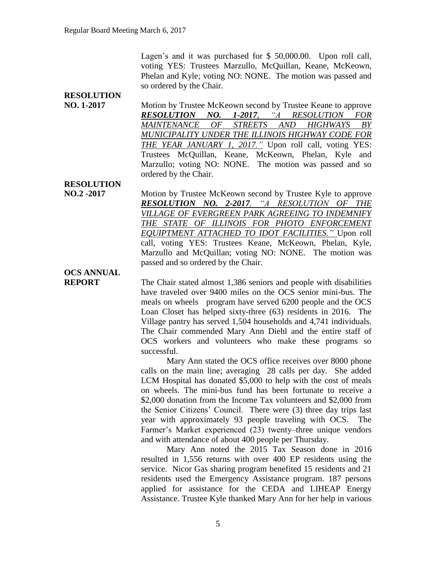Lagen's and it was purchased for \$50,000.00. Upon roll call, voting YES: Trustees Marzullo, McQuillan, Keane, McKeown, Phelan and Kyle; voting NO: NONE. The motion was passed and so ordered by the Chair.

#### **RESOLUTION NO. 1-2017** Motion by Trustee McKeown second by Trustee Keane to approve *RESOLUTION NO. 1-2017, "A RESOLUTION FOR MAINTENANCE OF STREETS AND HIGHWAYS BY MUNICIPALITY UNDER THE ILLINOIS HIGHWAY CODE FOR THE YEAR JANUARY 1, 2017."* Upon roll call, voting YES: Trustees McQuillan, Keane, McKeown, Phelan, Kyle and Marzullo; voting NO: NONE. The motion was passed and so ordered by the Chair.

**RESOLUTION**

**NO.2 -2017** Motion by Trustee McKeown second by Trustee Kyle to approve *RESOLUTION NO. 2-2017, "A RESOLUTION OF THE VILLAGE OF EVERGREEN PARK AGREEING TO INDEMNIFY THE STATE OF ILLINOIS FOR PHOTO ENFORCEMENT EQUIPTMENT ATTACHED TO IDOT FACILITIES."* Upon roll call, voting YES: Trustees Keane, McKeown, Phelan, Kyle, Marzullo and McQuillan; voting NO: NONE. The motion was passed and so ordered by the Chair.

# **OCS ANNUAL**

**REPORT** The Chair stated almost 1,386 seniors and people with disabilities have traveled over 9400 miles on the OCS senior mini-bus. The meals on wheels program have served 6200 people and the OCS Loan Closet has helped sixty-three (63) residents in 2016. The Village pantry has served 1,504 households and 4,741 individuals. The Chair commended Mary Ann Diehl and the entire staff of OCS workers and volunteers who make these programs so successful.

> Mary Ann stated the OCS office receives over 8000 phone calls on the main line; averaging 28 calls per day. She added LCM Hospital has donated \$5,000 to help with the cost of meals on wheels. The mini-bus fund has been fortunate to receive a \$2,000 donation from the Income Tax volunteers and \$2,000 from the Senior Citizens' Council. There were (3) three day trips last year with approximately 93 people traveling with OCS. The Farmer's Market experienced (23) twenty–three unique vendors and with attendance of about 400 people per Thursday.

> Mary Ann noted the 2015 Tax Season done in 2016 resulted in 1,556 returns with over 400 EP residents using the service. Nicor Gas sharing program benefited 15 residents and 21 residents used the Emergency Assistance program. 187 persons applied for assistance for the CEDA and LIHEAP Energy Assistance. Trustee Kyle thanked Mary Ann for her help in various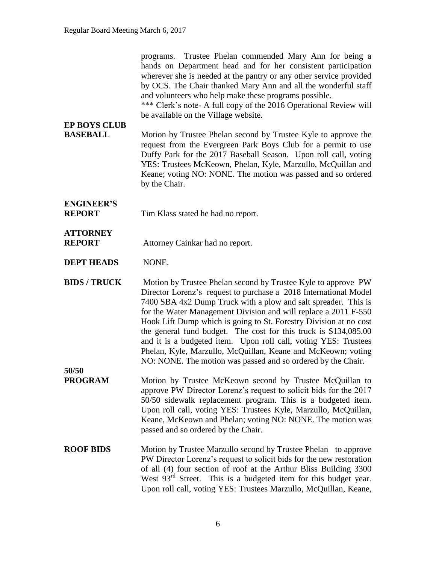| <b>EP BOYS CLUB</b><br><b>BASEBALL</b> | programs. Trustee Phelan commended Mary Ann for being a<br>hands on Department head and for her consistent participation<br>wherever she is needed at the pantry or any other service provided<br>by OCS. The Chair thanked Mary Ann and all the wonderful staff<br>and volunteers who help make these programs possible.<br>*** Clerk's note- A full copy of the 2016 Operational Review will<br>be available on the Village website.                                                                                                                                                                             |
|----------------------------------------|--------------------------------------------------------------------------------------------------------------------------------------------------------------------------------------------------------------------------------------------------------------------------------------------------------------------------------------------------------------------------------------------------------------------------------------------------------------------------------------------------------------------------------------------------------------------------------------------------------------------|
|                                        | Motion by Trustee Phelan second by Trustee Kyle to approve the<br>request from the Evergreen Park Boys Club for a permit to use<br>Duffy Park for the 2017 Baseball Season. Upon roll call, voting<br>YES: Trustees McKeown, Phelan, Kyle, Marzullo, McQuillan and<br>Keane; voting NO: NONE. The motion was passed and so ordered<br>by the Chair.                                                                                                                                                                                                                                                                |
| <b>ENGINEER'S</b><br><b>REPORT</b>     | Tim Klass stated he had no report.                                                                                                                                                                                                                                                                                                                                                                                                                                                                                                                                                                                 |
| <b>ATTORNEY</b><br><b>REPORT</b>       | Attorney Cainkar had no report.                                                                                                                                                                                                                                                                                                                                                                                                                                                                                                                                                                                    |
| <b>DEPT HEADS</b>                      | NONE.                                                                                                                                                                                                                                                                                                                                                                                                                                                                                                                                                                                                              |
| <b>BIDS / TRUCK</b>                    | Motion by Trustee Phelan second by Trustee Kyle to approve PW<br>Director Lorenz's request to purchase a 2018 International Model<br>7400 SBA 4x2 Dump Truck with a plow and salt spreader. This is<br>for the Water Management Division and will replace a 2011 F-550<br>Hook Lift Dump which is going to St. Forestry Division at no cost<br>the general fund budget. The cost for this truck is \$134,085.00<br>and it is a budgeted item. Upon roll call, voting YES: Trustees<br>Phelan, Kyle, Marzullo, McQuillan, Keane and McKeown; voting<br>NO: NONE. The motion was passed and so ordered by the Chair. |
| 50/50<br><b>PROGRAM</b>                | Motion by Trustee McKeown second by Trustee McQuillan to<br>approve PW Director Lorenz's request to solicit bids for the 2017<br>50/50 sidewalk replacement program. This is a budgeted item.<br>Upon roll call, voting YES: Trustees Kyle, Marzullo, McQuillan,<br>Keane, McKeown and Phelan; voting NO: NONE. The motion was<br>passed and so ordered by the Chair.                                                                                                                                                                                                                                              |
| <b>ROOF BIDS</b>                       | Motion by Trustee Marzullo second by Trustee Phelan to approve<br>PW Director Lorenz's request to solicit bids for the new restoration<br>of all (4) four section of roof at the Arthur Bliss Building 3300<br>West 93 <sup>rd</sup> Street. This is a budgeted item for this budget year.<br>Upon roll call, voting YES: Trustees Marzullo, McQuillan, Keane,                                                                                                                                                                                                                                                     |